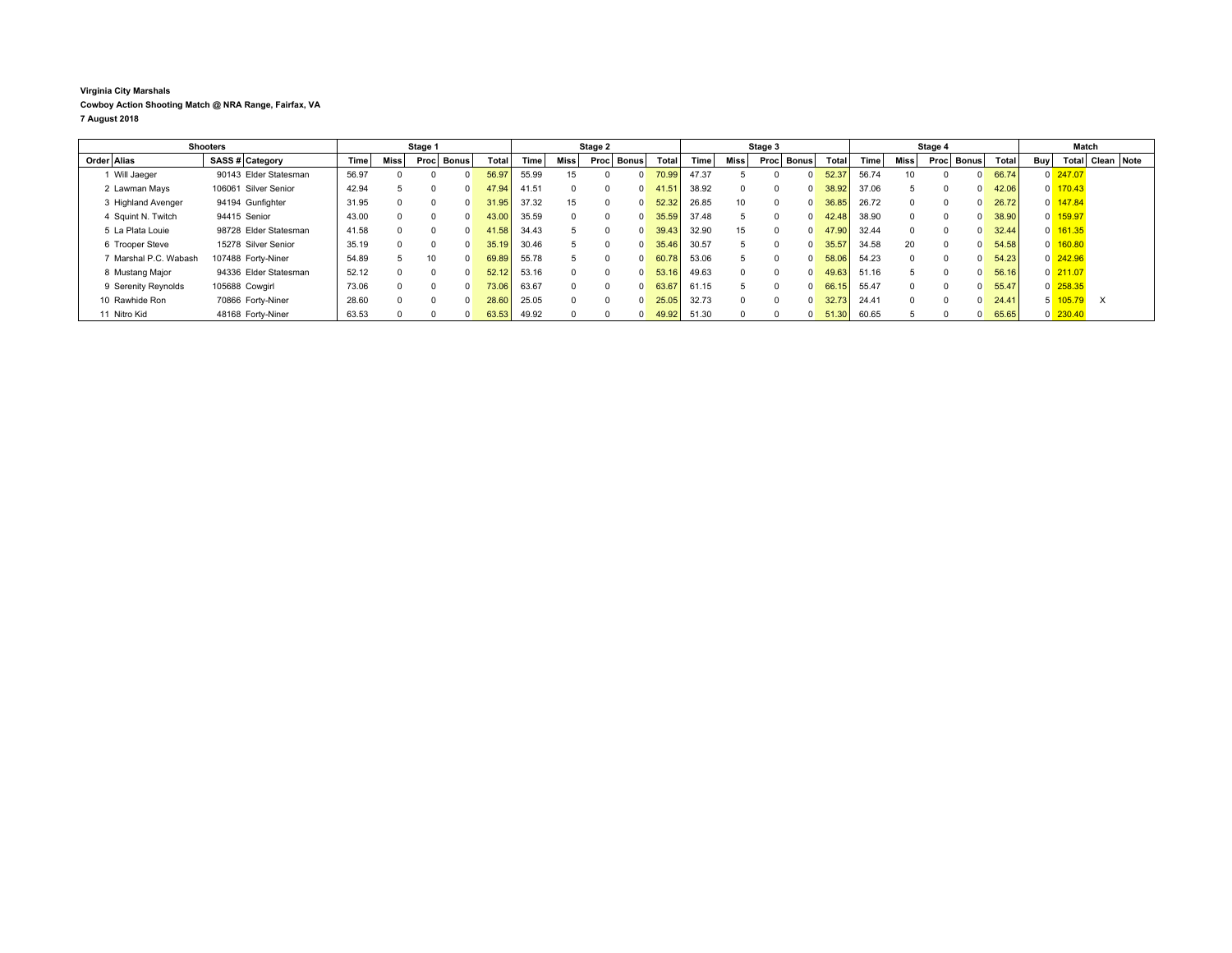## **Virginia City Marshals Cowboy Action Shooting Match @ NRA Range, Fairfax, VA 7 August 2018**

| <b>Shooters</b>       |                       | Stage 1 |             |      |              | Stage 2 |       |          |                      | Stage 3                        |       |                 |                      |  | Stage 4 |       |              |          | Match        |       |            |                       |            |  |
|-----------------------|-----------------------|---------|-------------|------|--------------|---------|-------|----------|----------------------|--------------------------------|-------|-----------------|----------------------|--|---------|-------|--------------|----------|--------------|-------|------------|-----------------------|------------|--|
| Order Alias           | SASS # Category       | Time    | <b>Miss</b> | Proc | <b>Bonus</b> | Total   | Time  | Miss     | <b>Bonus</b><br>Proc | Total                          | Time  | Miss            | <b>Bonus</b><br>Proc |  | Total   | Time  | Miss         | Proc     | <b>Bonus</b> | Total | <b>Buv</b> | Total                 | Clean Note |  |
| 1 Will Jaeger         | 90143 Elder Statesman | 56.97   |             |      |              | 56.97   | 55.99 | 15       | $\Omega$             | 70.99                          | 47.37 |                 |                      |  | 52.37   | 56.74 | 10           |          |              | 66.74 |            | $0$ 247.07            |            |  |
| 2 Lawman Mays         | 106061 Silver Senior  | 42.94   |             |      |              | 47.94   | 41.51 |          |                      | 41.51<br>$\Omega$              | 38.92 |                 |                      |  | 38.92   | 37.06 |              |          |              | 42.06 |            | $0 \overline{170.43}$ |            |  |
| 3 Highland Avenger    | 94194 Gunfighter      | 31.95   |             |      |              | 31.95   | 37.32 | 15       |                      | 52.32<br>$\Omega$              | 26.85 | 10 <sup>1</sup> |                      |  | 36.85   | 26.72 | $\Omega$     | $\Omega$ |              | 26.72 |            | $0 \frac{147.84}{5}$  |            |  |
| 4 Squint N. Twitch    | 94415 Senior          | 43.00   |             |      |              | 43.00   | 35.59 | $\Omega$ |                      | 35.59<br>$\Omega$              | 37.48 |                 |                      |  | 42.48   | 38.90 | $\Omega$     | $\Omega$ |              | 38.90 |            | 0 159.97              |            |  |
| 5 La Plata Louie      | 98728 Elder Statesman | 41.58   |             |      |              | 41.58   | 34.43 |          |                      | 39.43 <sub>1</sub><br>$\Omega$ | 32.90 | 15              |                      |  | 47.90   | 32.44 | 0            | $\Omega$ |              | 32.44 |            | 0 161.35              |            |  |
| 6 Trooper Steve       | 15278 Silver Senior   | 35.19   |             |      |              | 35.19   | 30.46 |          |                      | 35.46<br>$\Omega$              | 30.57 |                 |                      |  | 35.57   | 34.58 | 20           | $\Omega$ |              | 54.58 |            | $0$ 160.80            |            |  |
| 7 Marshal P.C. Wabash | 107488 Forty-Niner    | 54.89   | b.          | 10   |              | 69.89   | 55.78 |          |                      | 60.78<br>$\Omega$              | 53.06 |                 |                      |  | 58.06   | 54.23 | 0            | $\Omega$ |              | 54.23 |            | $0\frac{242.96}{ }$   |            |  |
| 8 Mustang Major       | 94336 Elder Statesman | 52.12   |             |      |              | 52.12   | 53.16 |          |                      | 53.16<br>$\Omega$              | 49.63 |                 |                      |  | 49.63   | 51.16 | 5            |          |              | 56.16 |            | $0$ 211.07            |            |  |
| 9 Serenity Reynolds   | 105688 Cowgirl        | 73.06   |             |      |              | 73.06   | 63.67 | $\Omega$ |                      | 63.67<br>$\Omega$              | 61.15 |                 |                      |  | 66.15   | 55.47 | <sup>0</sup> | $\Omega$ |              | 55.47 |            | $0$ 258.35            |            |  |
| 10 Rawhide Ron        | 70866 Forty-Niner     | 28.60   |             |      |              | 28.60   | 25.05 | $\Omega$ |                      | 25.05<br>$\Omega$              | 32.73 |                 |                      |  | 32.73   | 24.41 | $\Omega$     |          |              | 24.41 |            | 105.79                | $\times$   |  |
| 11 Nitro Kid          | 48168 Forty-Niner     | 63.53   |             |      |              | 63.53   | 49.92 |          |                      | 49.92<br>$\Omega$              | 51.30 |                 |                      |  | 51.30   | 60.65 |              |          |              | 65.65 |            | $0$ 230.40            |            |  |